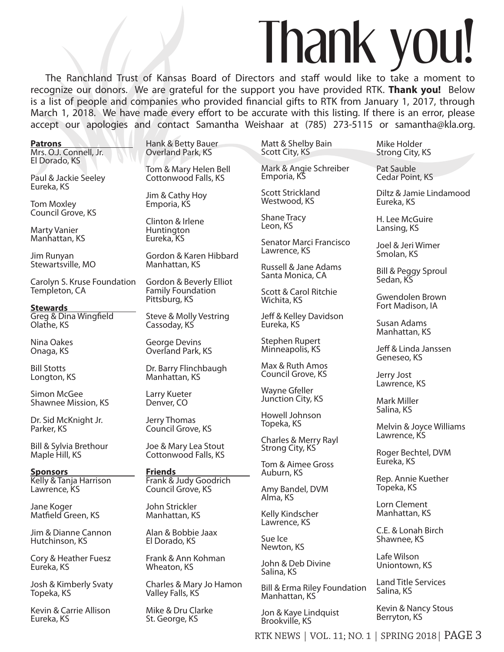## Thank you!

The Ranchland Trust of Kansas Board of Directors and staff would like to take a moment to recognize our donors. We are grateful for the support you have provided RTK. **Thank you!** Below is a list of people and companies who provided financial gifts to RTK from January 1, 2017, through March 1, 2018. We have made every effort to be accurate with this listing. If there is an error, please accept our apologies and contact Samantha Weishaar at (785) 273-5115 or samantha@kla.org.

| <b>Patrons</b>                          |  |
|-----------------------------------------|--|
| Mrs. O.J. Connell, Jr.<br>El Dorado, KS |  |
| Paul & Jackie Seeley<br>Eureka, KS      |  |

Tom Moxley Council Grove, KS

Marty Vanier Manhattan, KS

Jim Runyan Stewartsville, MO

Carolyn S. Kruse Foundation Templeton, CA

**Stewards**  Greg & Dina Wingfield Olathe, KS

Nina Oakes Onaga, KS

Bill Stotts Longton, KS

Simon McGee Shawnee Mission, KS

Dr. Sid McKnight Jr. Parker, KS

Bill & Sylvia Brethour Maple Hill, KS

**Sponsors**  Kelly & Tanja Harrison Lawrence, KS

Jane Koger Matfield Green, KS

Jim & Dianne Cannon Hutchinson, KS

Cory & Heather Fuesz Eureka, KS

Josh & Kimberly Svaty Topeka, KS

Kevin & Carrie Allison Eureka, KS

Hank & Betty Bauer Overland Park, KS

Tom & Mary Helen Bell Cottonwood Falls, KS

Jim & Cathy Hoy Emporia, KS

Clinton & Irlene **Huntington** Eureka, KS

Gordon & Karen Hibbard Manhattan, KS

Gordon & Beverly Elliot Family Foundation Pittsburg, KS

Steve & Molly Vestring Cassoday, KS

George Devins Overland Park, KS

Dr. Barry Flinchbaugh Manhattan, KS

Larry Kueter Denver, CO

Jerry Thomas Council Grove, KS

Joe & Mary Lea Stout Cottonwood Falls, KS

**Friends**  Frank & Judy Goodrich Council Grove, KS

John Strickler Manhattan, KS

Alan & Bobbie Jaax El Dorado, KS

Frank & Ann Kohman Wheaton, KS

Charles & Mary Jo Hamon Valley Falls, KS

Mike & Dru Clarke St. George, KS

Matt & Shelby Bain Scott City, KS

Mark & Angie Schreiber Emporia, KS

Scott Strickland Westwood, KS

Shane Tracy Leon, KS

Senator Marci Francisco Lawrence, KS

Russell & Jane Adams Santa Monica, CA

Scott & Carol Ritchie Wichita, KS

Jeff & Kelley Davidson Eureka, KS

Stephen Rupert Minneapolis, KS

Max & Ruth Amos Council Grove, KS

Wayne Gfeller Junction City, KS

Howell Johnson Topeka, KS

Charles & Merry Rayl Strong City, KS<sup>7</sup>

Tom & Aimee Gross Auburn, KS

Amy Bandel, DVM Alma, KS

Kelly Kindscher Lawrence, KS

Sue Ice Newton, KS

John & Deb Divine Salina, KS

Bill & Erma Riley Foundation Manhattan, KS

Jon & Kaye Lindquist Brookville, KS

Mike Holder Strong City, KS

Pat Sauble Cedar Point, KS

Diltz & Jamie Lindamood Eureka, KS

H. Lee McGuire Lansing, KS

Joel & Jeri Wimer Smolan, KS

Bill & Peggy Sproul Sedan, KS

Gwendolen Brown Fort Madison, IA

Susan Adams Manhattan, KS

Jeff & Linda Janssen Geneseo, KS

Jerry Jost Lawrence, KS

Mark Miller Salina, KS

Melvin & Joyce Williams Lawrence, KS

Roger Bechtel, DVM Eureka, KS

Rep. Annie Kuether Topeka, KS

Lorn Clement Manhattan, KS

C.E. & Lonah Birch Shawnee, KS

Lafe Wilson Uniontown, KS

Land Title Services Salina, KS

Kevin & Nancy Stous Berryton, KS

RTK NEWS | VOL. 11; NO. 1 | SPRING 2018| PAGE 3